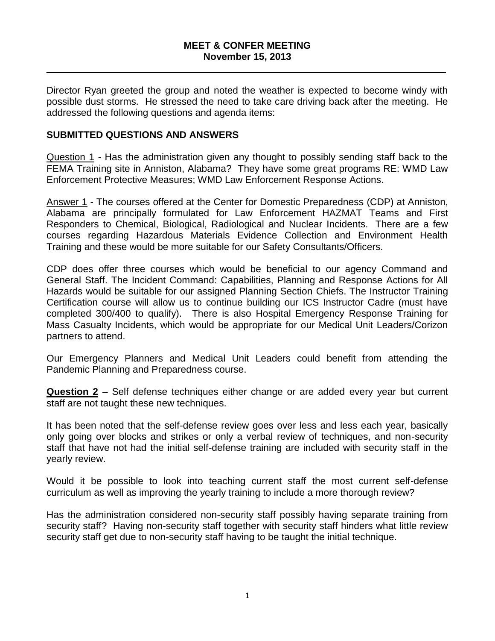#### **MEET & CONFER MEETING November 15, 2013**

 $\_$  , and the set of the set of the set of the set of the set of the set of the set of the set of the set of the set of the set of the set of the set of the set of the set of the set of the set of the set of the set of th

Director Ryan greeted the group and noted the weather is expected to become windy with possible dust storms. He stressed the need to take care driving back after the meeting. He addressed the following questions and agenda items:

## **SUBMITTED QUESTIONS AND ANSWERS**

Question 1 - Has the administration given any thought to possibly sending staff back to the FEMA Training site in Anniston, Alabama? They have some great programs RE: WMD Law Enforcement Protective Measures; WMD Law Enforcement Response Actions.

Answer 1 - The courses offered at the Center for Domestic Preparedness (CDP) at Anniston, Alabama are principally formulated for Law Enforcement HAZMAT Teams and First Responders to Chemical, Biological, Radiological and Nuclear Incidents. There are a few courses regarding Hazardous Materials Evidence Collection and Environment Health Training and these would be more suitable for our Safety Consultants/Officers.

CDP does offer three courses which would be beneficial to our agency Command and General Staff. The Incident Command: Capabilities, Planning and Response Actions for All Hazards would be suitable for our assigned Planning Section Chiefs. The Instructor Training Certification course will allow us to continue building our ICS Instructor Cadre (must have completed 300/400 to qualify). There is also Hospital Emergency Response Training for Mass Casualty Incidents, which would be appropriate for our Medical Unit Leaders/Corizon partners to attend.

Our Emergency Planners and Medical Unit Leaders could benefit from attending the Pandemic Planning and Preparedness course.

**Question 2** – Self defense techniques either change or are added every year but current staff are not taught these new techniques.

It has been noted that the self-defense review goes over less and less each year, basically only going over blocks and strikes or only a verbal review of techniques, and non-security staff that have not had the initial self-defense training are included with security staff in the yearly review.

Would it be possible to look into teaching current staff the most current self-defense curriculum as well as improving the yearly training to include a more thorough review?

Has the administration considered non-security staff possibly having separate training from security staff? Having non-security staff together with security staff hinders what little review security staff get due to non-security staff having to be taught the initial technique.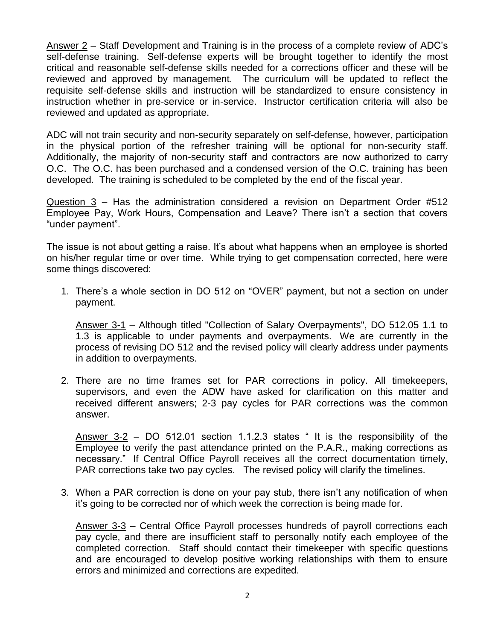Answer 2 – Staff Development and Training is in the process of a complete review of ADC"s self-defense training. Self-defense experts will be brought together to identify the most critical and reasonable self-defense skills needed for a corrections officer and these will be reviewed and approved by management. The curriculum will be updated to reflect the requisite self-defense skills and instruction will be standardized to ensure consistency in instruction whether in pre-service or in-service. Instructor certification criteria will also be reviewed and updated as appropriate.

ADC will not train security and non-security separately on self-defense, however, participation in the physical portion of the refresher training will be optional for non-security staff. Additionally, the majority of non-security staff and contractors are now authorized to carry O.C. The O.C. has been purchased and a condensed version of the O.C. training has been developed. The training is scheduled to be completed by the end of the fiscal year.

Question 3 – Has the administration considered a revision on Department Order #512 Employee Pay, Work Hours, Compensation and Leave? There isn't a section that covers "under payment".

The issue is not about getting a raise. It's about what happens when an employee is shorted on his/her regular time or over time. While trying to get compensation corrected, here were some things discovered:

1. There"s a whole section in DO 512 on "OVER" payment, but not a section on under payment.

Answer 3-1 – Although titled "Collection of Salary Overpayments", DO 512.05 1.1 to 1.3 is applicable to under payments and overpayments. We are currently in the process of revising DO 512 and the revised policy will clearly address under payments in addition to overpayments.

2. There are no time frames set for PAR corrections in policy. All timekeepers, supervisors, and even the ADW have asked for clarification on this matter and received different answers; 2-3 pay cycles for PAR corrections was the common answer.

Answer 3-2 – DO 512.01 section 1.1.2.3 states " It is the responsibility of the Employee to verify the past attendance printed on the P.A.R., making corrections as necessary." If Central Office Payroll receives all the correct documentation timely, PAR corrections take two pay cycles. The revised policy will clarify the timelines.

3. When a PAR correction is done on your pay stub, there isn"t any notification of when it"s going to be corrected nor of which week the correction is being made for.

Answer 3-3 – Central Office Payroll processes hundreds of payroll corrections each pay cycle, and there are insufficient staff to personally notify each employee of the completed correction. Staff should contact their timekeeper with specific questions and are encouraged to develop positive working relationships with them to ensure errors and minimized and corrections are expedited.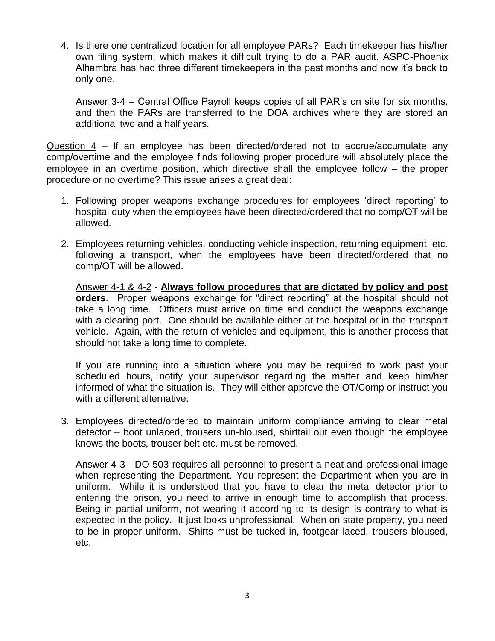4. Is there one centralized location for all employee PARs? Each timekeeper has his/her own filing system, which makes it difficult trying to do a PAR audit. ASPC-Phoenix Alhambra has had three different timekeepers in the past months and now it"s back to only one.

Answer 3-4 – Central Office Payroll keeps copies of all PAR"s on site for six months, and then the PARs are transferred to the DOA archives where they are stored an additional two and a half years.

Question 4 – If an employee has been directed/ordered not to accrue/accumulate any comp/overtime and the employee finds following proper procedure will absolutely place the employee in an overtime position, which directive shall the employee follow – the proper procedure or no overtime? This issue arises a great deal:

- 1. Following proper weapons exchange procedures for employees "direct reporting" to hospital duty when the employees have been directed/ordered that no comp/OT will be allowed.
- 2. Employees returning vehicles, conducting vehicle inspection, returning equipment, etc. following a transport, when the employees have been directed/ordered that no comp/OT will be allowed.

Answer 4-1 & 4-2 - **Always follow procedures that are dictated by policy and post orders.** Proper weapons exchange for "direct reporting" at the hospital should not take a long time. Officers must arrive on time and conduct the weapons exchange with a clearing port. One should be available either at the hospital or in the transport vehicle. Again, with the return of vehicles and equipment, this is another process that should not take a long time to complete.

If you are running into a situation where you may be required to work past your scheduled hours, notify your supervisor regarding the matter and keep him/her informed of what the situation is. They will either approve the OT/Comp or instruct you with a different alternative.

3. Employees directed/ordered to maintain uniform compliance arriving to clear metal detector – boot unlaced, trousers un-bloused, shirttail out even though the employee knows the boots, trouser belt etc. must be removed.

Answer 4-3 - DO 503 requires all personnel to present a neat and professional image when representing the Department. You represent the Department when you are in uniform. While it is understood that you have to clear the metal detector prior to entering the prison, you need to arrive in enough time to accomplish that process. Being in partial uniform, not wearing it according to its design is contrary to what is expected in the policy. It just looks unprofessional. When on state property, you need to be in proper uniform. Shirts must be tucked in, footgear laced, trousers bloused, etc.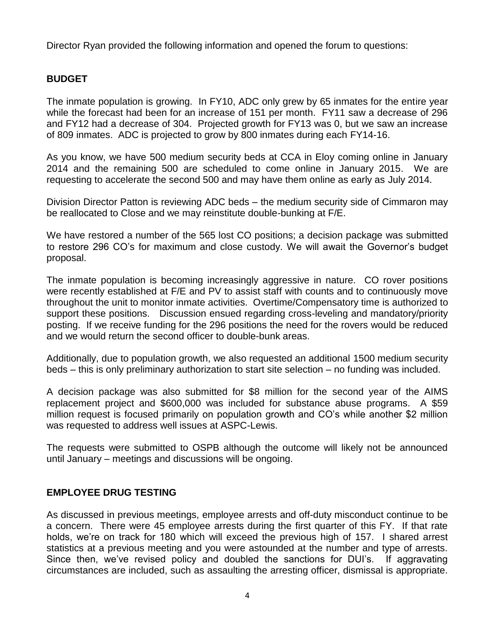Director Ryan provided the following information and opened the forum to questions:

# **BUDGET**

The inmate population is growing. In FY10, ADC only grew by 65 inmates for the entire year while the forecast had been for an increase of 151 per month. FY11 saw a decrease of 296 and FY12 had a decrease of 304. Projected growth for FY13 was 0, but we saw an increase of 809 inmates. ADC is projected to grow by 800 inmates during each FY14-16.

As you know, we have 500 medium security beds at CCA in Eloy coming online in January 2014 and the remaining 500 are scheduled to come online in January 2015. We are requesting to accelerate the second 500 and may have them online as early as July 2014.

Division Director Patton is reviewing ADC beds – the medium security side of Cimmaron may be reallocated to Close and we may reinstitute double-bunking at F/E.

We have restored a number of the 565 lost CO positions; a decision package was submitted to restore 296 CO"s for maximum and close custody. We will await the Governor"s budget proposal.

The inmate population is becoming increasingly aggressive in nature. CO rover positions were recently established at F/E and PV to assist staff with counts and to continuously move throughout the unit to monitor inmate activities. Overtime/Compensatory time is authorized to support these positions. Discussion ensued regarding cross-leveling and mandatory/priority posting. If we receive funding for the 296 positions the need for the rovers would be reduced and we would return the second officer to double-bunk areas.

Additionally, due to population growth, we also requested an additional 1500 medium security beds – this is only preliminary authorization to start site selection – no funding was included.

A decision package was also submitted for \$8 million for the second year of the AIMS replacement project and \$600,000 was included for substance abuse programs. A \$59 million request is focused primarily on population growth and CO"s while another \$2 million was requested to address well issues at ASPC-Lewis.

The requests were submitted to OSPB although the outcome will likely not be announced until January – meetings and discussions will be ongoing.

# **EMPLOYEE DRUG TESTING**

As discussed in previous meetings, employee arrests and off-duty misconduct continue to be a concern. There were 45 employee arrests during the first quarter of this FY. If that rate holds, we're on track for 180 which will exceed the previous high of 157. I shared arrest statistics at a previous meeting and you were astounded at the number and type of arrests. Since then, we've revised policy and doubled the sanctions for DUI's. If aggravating circumstances are included, such as assaulting the arresting officer, dismissal is appropriate.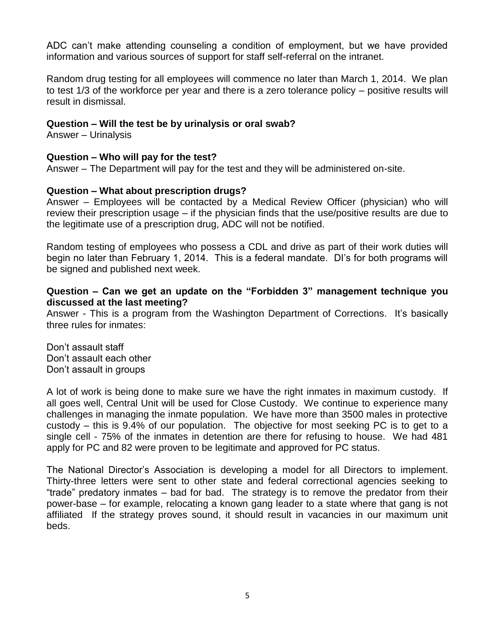ADC can"t make attending counseling a condition of employment, but we have provided information and various sources of support for staff self-referral on the intranet.

Random drug testing for all employees will commence no later than March 1, 2014. We plan to test 1/3 of the workforce per year and there is a zero tolerance policy – positive results will result in dismissal.

# **Question – Will the test be by urinalysis or oral swab?**

Answer – Urinalysis

#### **Question – Who will pay for the test?**

Answer – The Department will pay for the test and they will be administered on-site.

#### **Question – What about prescription drugs?**

Answer – Employees will be contacted by a Medical Review Officer (physician) who will review their prescription usage – if the physician finds that the use/positive results are due to the legitimate use of a prescription drug, ADC will not be notified.

Random testing of employees who possess a CDL and drive as part of their work duties will begin no later than February 1, 2014. This is a federal mandate. Di's for both programs will be signed and published next week.

## **Question – Can we get an update on the "Forbidden 3" management technique you discussed at the last meeting?**

Answer - This is a program from the Washington Department of Corrections. It"s basically three rules for inmates:

Don"t assault staff Don"t assault each other Don"t assault in groups

A lot of work is being done to make sure we have the right inmates in maximum custody. If all goes well, Central Unit will be used for Close Custody. We continue to experience many challenges in managing the inmate population. We have more than 3500 males in protective custody – this is 9.4% of our population. The objective for most seeking PC is to get to a single cell - 75% of the inmates in detention are there for refusing to house. We had 481 apply for PC and 82 were proven to be legitimate and approved for PC status.

The National Director's Association is developing a model for all Directors to implement. Thirty-three letters were sent to other state and federal correctional agencies seeking to "trade" predatory inmates – bad for bad. The strategy is to remove the predator from their power-base – for example, relocating a known gang leader to a state where that gang is not affiliated If the strategy proves sound, it should result in vacancies in our maximum unit beds.